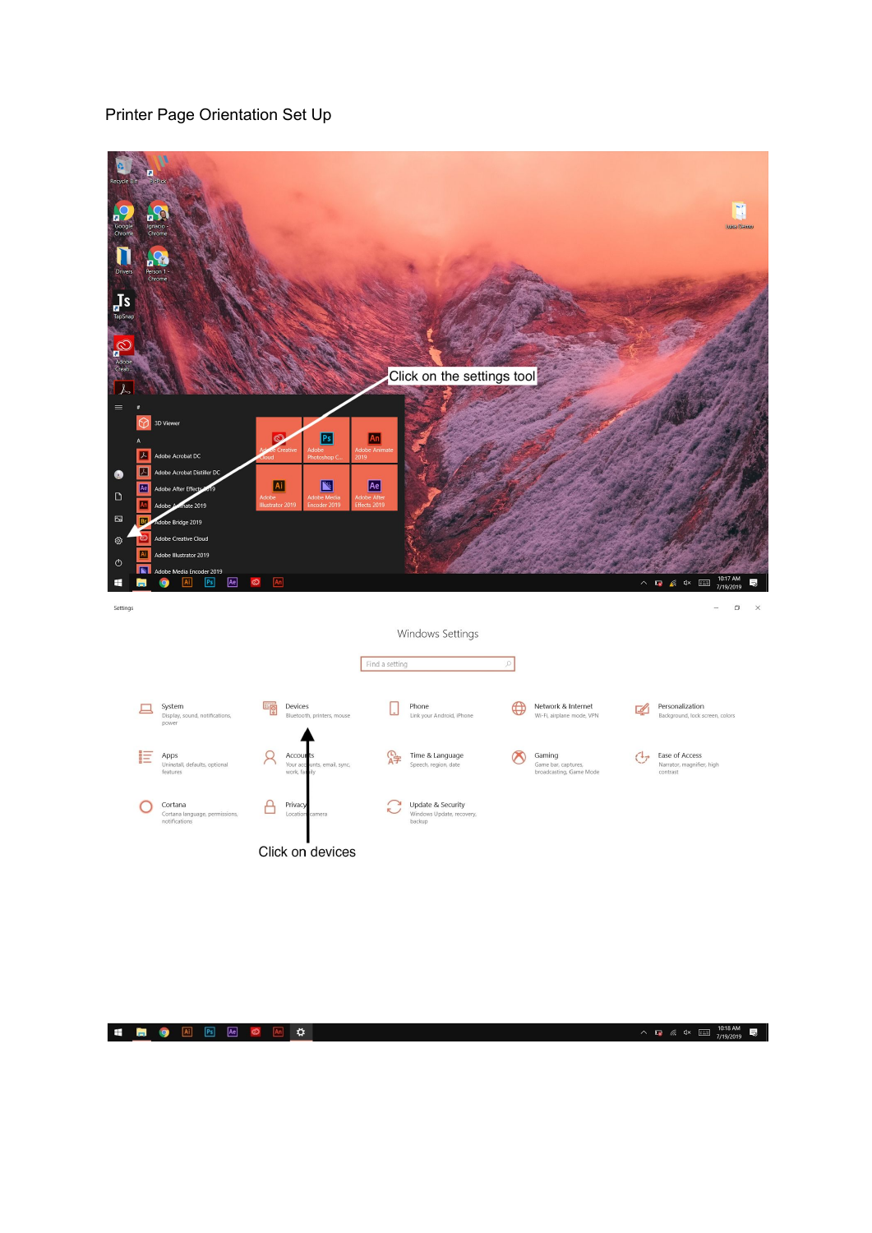## Printer Page Orientation Set Up

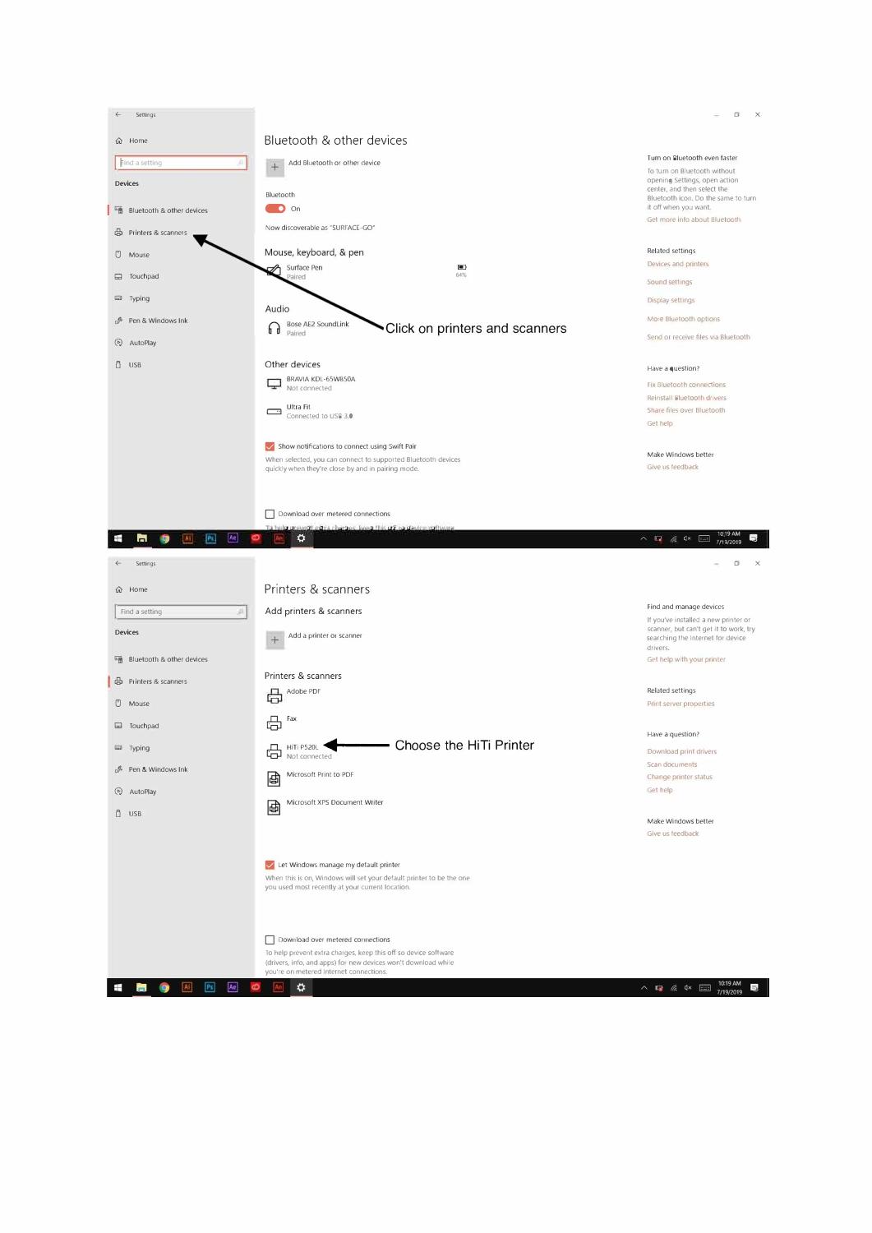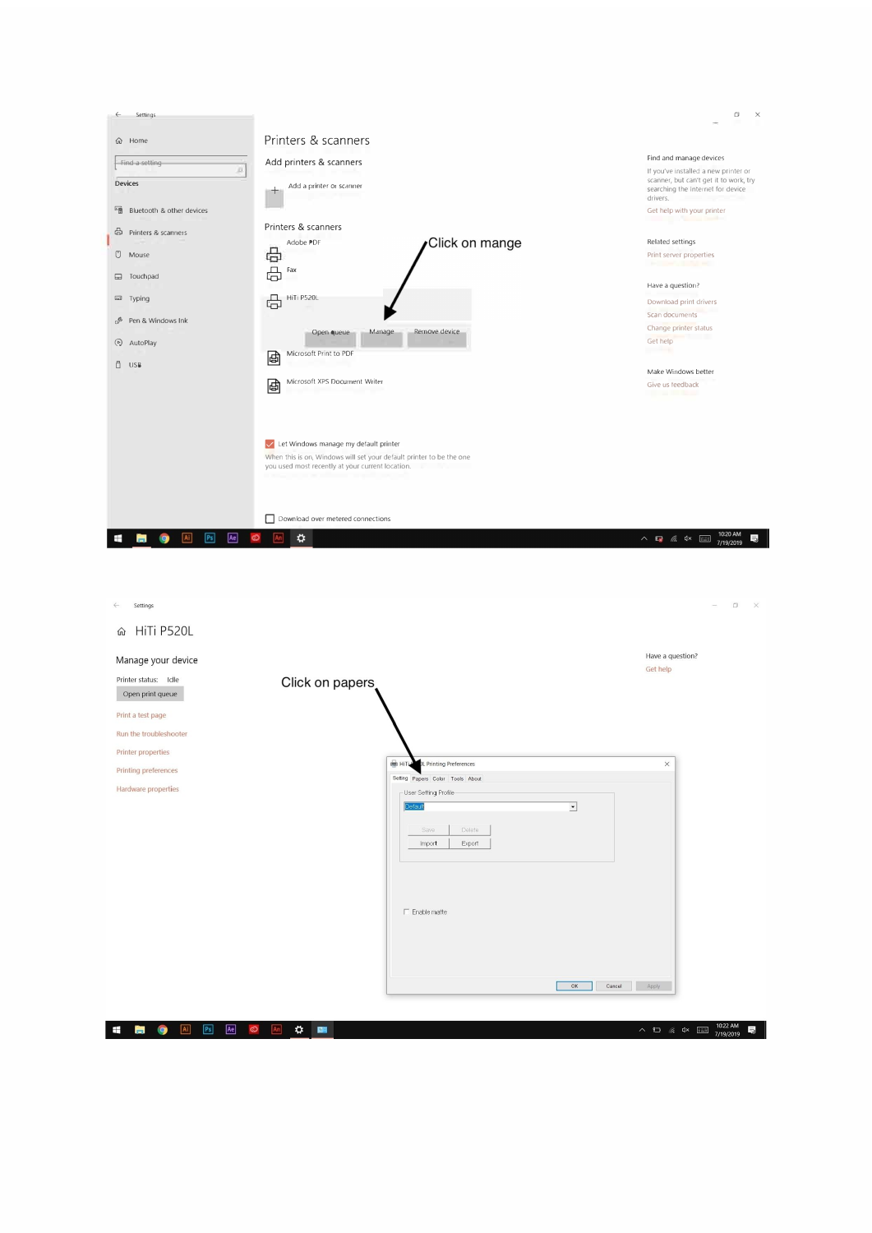

| Settings<br>$\leftarrow$                                          |                                          | $\Box$<br>$\times$<br>-                                                                                                                                                                                                                                                                                                                                                           |
|-------------------------------------------------------------------|------------------------------------------|-----------------------------------------------------------------------------------------------------------------------------------------------------------------------------------------------------------------------------------------------------------------------------------------------------------------------------------------------------------------------------------|
| HiTi P520L<br>⋒                                                   |                                          |                                                                                                                                                                                                                                                                                                                                                                                   |
| Manage your device                                                |                                          | Have a question?<br>Get help                                                                                                                                                                                                                                                                                                                                                      |
| Printer status: Idle<br>Open print queue                          | Click on papers                          |                                                                                                                                                                                                                                                                                                                                                                                   |
| Print a test page                                                 |                                          |                                                                                                                                                                                                                                                                                                                                                                                   |
| Run the troubleshooter                                            |                                          |                                                                                                                                                                                                                                                                                                                                                                                   |
| <b>Printer properties</b>                                         | <b>B</b> HiTL<br>DL Printing Preferences | $\times$                                                                                                                                                                                                                                                                                                                                                                          |
| Printing preferences                                              | Setting Papers Color Tools About         |                                                                                                                                                                                                                                                                                                                                                                                   |
| Hardware properties                                               | User Setting Profile                     |                                                                                                                                                                                                                                                                                                                                                                                   |
|                                                                   | $\overline{\cdot}$<br>Default            |                                                                                                                                                                                                                                                                                                                                                                                   |
|                                                                   | Delete<br>Save                           |                                                                                                                                                                                                                                                                                                                                                                                   |
|                                                                   | Export<br>Import                         |                                                                                                                                                                                                                                                                                                                                                                                   |
|                                                                   |                                          |                                                                                                                                                                                                                                                                                                                                                                                   |
|                                                                   |                                          |                                                                                                                                                                                                                                                                                                                                                                                   |
|                                                                   |                                          |                                                                                                                                                                                                                                                                                                                                                                                   |
|                                                                   | $\Box$ Enable matte                      |                                                                                                                                                                                                                                                                                                                                                                                   |
|                                                                   |                                          |                                                                                                                                                                                                                                                                                                                                                                                   |
|                                                                   |                                          |                                                                                                                                                                                                                                                                                                                                                                                   |
|                                                                   |                                          |                                                                                                                                                                                                                                                                                                                                                                                   |
|                                                                   | OK                                       | Cancel<br>Apply                                                                                                                                                                                                                                                                                                                                                                   |
|                                                                   |                                          |                                                                                                                                                                                                                                                                                                                                                                                   |
| Ae<br>Ai<br>P <sub>S</sub><br>$\circ$<br>Ŧ<br>9<br>$\blacksquare$ | $\frac{1}{2}$<br>An                      | 10:22 AM<br>7/19/2019<br>局<br>$\begin{picture}(150,10) \put(0,0){\line(1,0){10}} \put(15,0){\line(1,0){10}} \put(15,0){\line(1,0){10}} \put(15,0){\line(1,0){10}} \put(15,0){\line(1,0){10}} \put(15,0){\line(1,0){10}} \put(15,0){\line(1,0){10}} \put(15,0){\line(1,0){10}} \put(15,0){\line(1,0){10}} \put(15,0){\line(1,0){10}} \put(15,0){\line(1,0){10}} \put(15,0){\line($ |